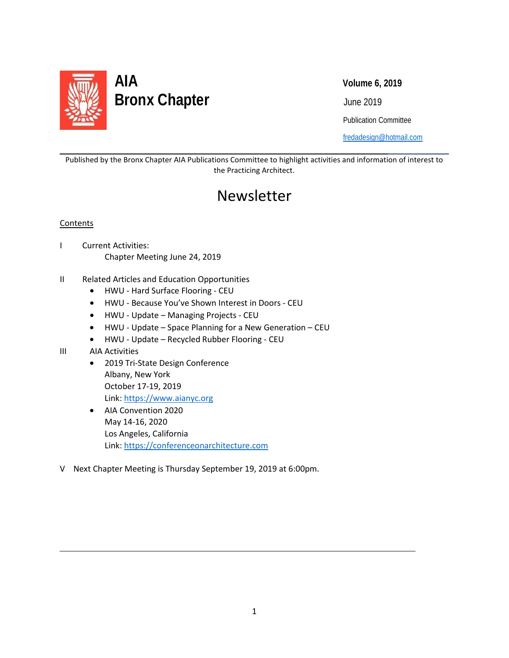

Publication Committee

[fredadesign@hotmail.com](mailto:fredadesign@hotmail.com)

Published by the Bronx Chapter AIA Publications Committee to highlight activities and information of interest to the Practicing Architect.

# Newsletter

#### **Contents**

l

- I Current Activities: Chapter Meeting June 24, 2019
- II Related Articles and Education Opportunities
	- HWU Hard Surface Flooring CEU
	- HWU Because You've Shown Interest in Doors CEU
	- HWU Update Managing Projects CEU
	- HWU Update Space Planning for a New Generation CEU
	- HWU Update Recycled Rubber Flooring CEU
- III AIA Activities

 $\overline{\phantom{0}}$ 

- 2019 Tri-State Design Conference Albany, New York October 17-19, 2019 Link: [https://www.aianyc.org](https://www.aianyc.org/)
- AIA Convention 2020 May 14-16, 2020 Los Angeles, California Link: [https://conferenceonarchitecture.com](https://conferenceonarchitecture.com/)
- V Next Chapter Meeting is Thursday September 19, 2019 at 6:00pm.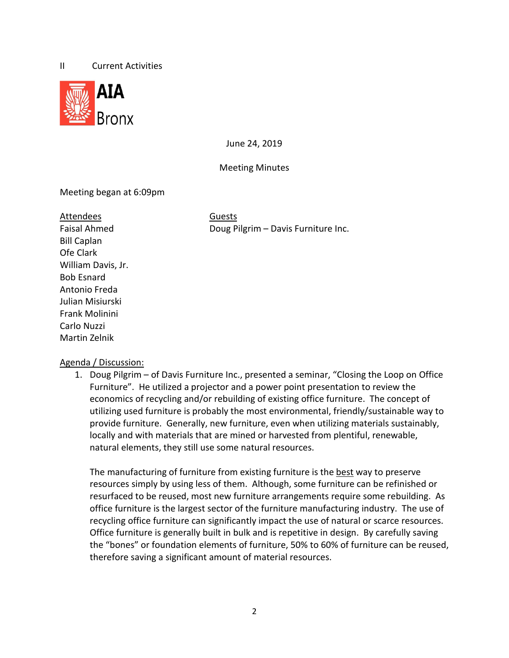#### II Current Activities



June 24, 2019

Meeting Minutes

## Meeting began at 6:09pm

#### Attendees Guests

Bill Caplan Ofe Clark William Davis, Jr. Bob Esnard Antonio Freda Julian Misiurski Frank Molinini Carlo Nuzzi Martin Zelnik

Faisal Ahmed **Doug Pilgrim – Davis Furniture Inc.** 

## Agenda / Discussion:

1. Doug Pilgrim – of Davis Furniture Inc., presented a seminar, "Closing the Loop on Office Furniture". He utilized a projector and a power point presentation to review the economics of recycling and/or rebuilding of existing office furniture. The concept of utilizing used furniture is probably the most environmental, friendly/sustainable way to provide furniture. Generally, new furniture, even when utilizing materials sustainably, locally and with materials that are mined or harvested from plentiful, renewable, natural elements, they still use some natural resources.

The manufacturing of furniture from existing furniture is the best way to preserve resources simply by using less of them. Although, some furniture can be refinished or resurfaced to be reused, most new furniture arrangements require some rebuilding. As office furniture is the largest sector of the furniture manufacturing industry. The use of recycling office furniture can significantly impact the use of natural or scarce resources. Office furniture is generally built in bulk and is repetitive in design. By carefully saving the "bones" or foundation elements of furniture, 50% to 60% of furniture can be reused, therefore saving a significant amount of material resources.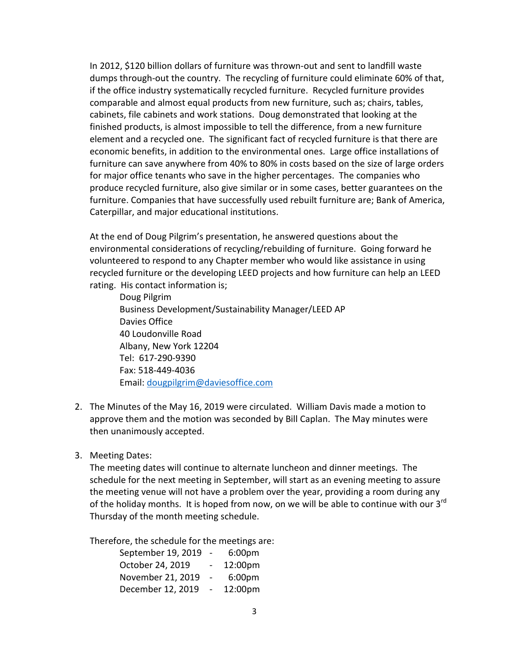In 2012, \$120 billion dollars of furniture was thrown-out and sent to landfill waste dumps through-out the country. The recycling of furniture could eliminate 60% of that, if the office industry systematically recycled furniture. Recycled furniture provides comparable and almost equal products from new furniture, such as; chairs, tables, cabinets, file cabinets and work stations. Doug demonstrated that looking at the finished products, is almost impossible to tell the difference, from a new furniture element and a recycled one. The significant fact of recycled furniture is that there are economic benefits, in addition to the environmental ones. Large office installations of furniture can save anywhere from 40% to 80% in costs based on the size of large orders for major office tenants who save in the higher percentages. The companies who produce recycled furniture, also give similar or in some cases, better guarantees on the furniture. Companies that have successfully used rebuilt furniture are; Bank of America, Caterpillar, and major educational institutions.

At the end of Doug Pilgrim's presentation, he answered questions about the environmental considerations of recycling/rebuilding of furniture. Going forward he volunteered to respond to any Chapter member who would like assistance in using recycled furniture or the developing LEED projects and how furniture can help an LEED rating. His contact information is;

Doug Pilgrim Business Development/Sustainability Manager/LEED AP Davies Office 40 Loudonville Road Albany, New York 12204 Tel: 617-290-9390 Fax: 518-449-4036 Email: [dougpilgrim@daviesoffice.com](mailto:dougpilgrim@daviesoffice.com)

- 2. The Minutes of the May 16, 2019 were circulated. William Davis made a motion to approve them and the motion was seconded by Bill Caplan. The May minutes were then unanimously accepted.
- 3. Meeting Dates:

The meeting dates will continue to alternate luncheon and dinner meetings. The schedule for the next meeting in September, will start as an evening meeting to assure the meeting venue will not have a problem over the year, providing a room during any of the holiday months. It is hoped from now, on we will be able to continue with our  $3^{rd}$ Thursday of the month meeting schedule.

Therefore, the schedule for the meetings are:

| September 19, 2019 | $\blacksquare$ | 6:00 <sub>pm</sub> |
|--------------------|----------------|--------------------|
| October 24, 2019   |                | 12:00pm            |
| November 21, 2019  |                | 6:00 <sub>pm</sub> |
| December 12, 2019  |                | 12:00pm            |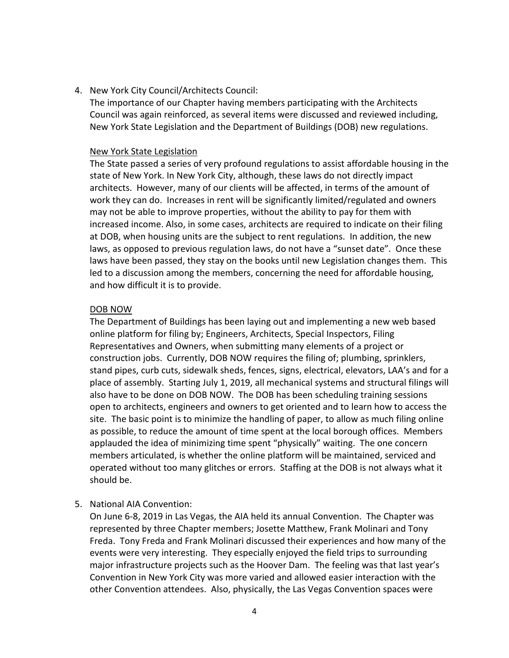4. New York City Council/Architects Council:

The importance of our Chapter having members participating with the Architects Council was again reinforced, as several items were discussed and reviewed including, New York State Legislation and the Department of Buildings (DOB) new regulations.

#### New York State Legislation

The State passed a series of very profound regulations to assist affordable housing in the state of New York. In New York City, although, these laws do not directly impact architects. However, many of our clients will be affected, in terms of the amount of work they can do. Increases in rent will be significantly limited/regulated and owners may not be able to improve properties, without the ability to pay for them with increased income. Also, in some cases, architects are required to indicate on their filing at DOB, when housing units are the subject to rent regulations. In addition, the new laws, as opposed to previous regulation laws, do not have a "sunset date". Once these laws have been passed, they stay on the books until new Legislation changes them. This led to a discussion among the members, concerning the need for affordable housing, and how difficult it is to provide.

#### DOB NOW

The Department of Buildings has been laying out and implementing a new web based online platform for filing by; Engineers, Architects, Special Inspectors, Filing Representatives and Owners, when submitting many elements of a project or construction jobs. Currently, DOB NOW requires the filing of; plumbing, sprinklers, stand pipes, curb cuts, sidewalk sheds, fences, signs, electrical, elevators, LAA's and for a place of assembly. Starting July 1, 2019, all mechanical systems and structural filings will also have to be done on DOB NOW. The DOB has been scheduling training sessions open to architects, engineers and owners to get oriented and to learn how to access the site. The basic point is to minimize the handling of paper, to allow as much filing online as possible, to reduce the amount of time spent at the local borough offices. Members applauded the idea of minimizing time spent "physically" waiting. The one concern members articulated, is whether the online platform will be maintained, serviced and operated without too many glitches or errors. Staffing at the DOB is not always what it should be.

5. National AIA Convention:

On June 6-8, 2019 in Las Vegas, the AIA held its annual Convention. The Chapter was represented by three Chapter members; Josette Matthew, Frank Molinari and Tony Freda. Tony Freda and Frank Molinari discussed their experiences and how many of the events were very interesting. They especially enjoyed the field trips to surrounding major infrastructure projects such as the Hoover Dam. The feeling was that last year's Convention in New York City was more varied and allowed easier interaction with the other Convention attendees. Also, physically, the Las Vegas Convention spaces were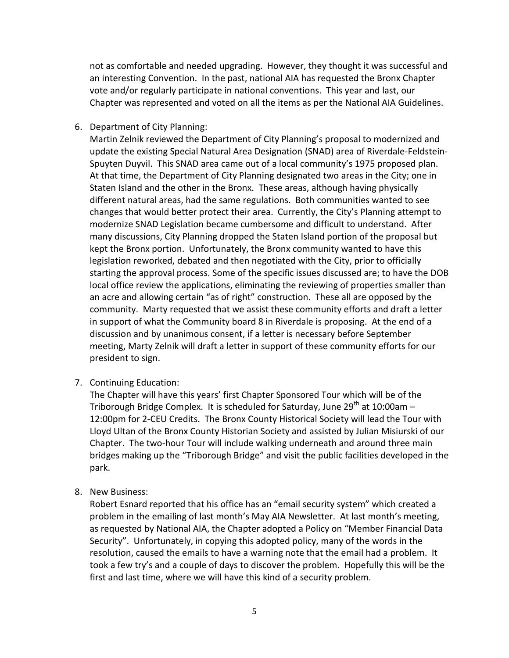not as comfortable and needed upgrading. However, they thought it was successful and an interesting Convention. In the past, national AIA has requested the Bronx Chapter vote and/or regularly participate in national conventions. This year and last, our Chapter was represented and voted on all the items as per the National AIA Guidelines.

#### 6. Department of City Planning:

Martin Zelnik reviewed the Department of City Planning's proposal to modernized and update the existing Special Natural Area Designation (SNAD) area of Riverdale-Feldstein-Spuyten Duyvil. This SNAD area came out of a local community's 1975 proposed plan. At that time, the Department of City Planning designated two areas in the City; one in Staten Island and the other in the Bronx. These areas, although having physically different natural areas, had the same regulations. Both communities wanted to see changes that would better protect their area. Currently, the City's Planning attempt to modernize SNAD Legislation became cumbersome and difficult to understand. After many discussions, City Planning dropped the Staten Island portion of the proposal but kept the Bronx portion. Unfortunately, the Bronx community wanted to have this legislation reworked, debated and then negotiated with the City, prior to officially starting the approval process. Some of the specific issues discussed are; to have the DOB local office review the applications, eliminating the reviewing of properties smaller than an acre and allowing certain "as of right" construction. These all are opposed by the community. Marty requested that we assist these community efforts and draft a letter in support of what the Community board 8 in Riverdale is proposing. At the end of a discussion and by unanimous consent, if a letter is necessary before September meeting, Marty Zelnik will draft a letter in support of these community efforts for our president to sign.

#### 7. Continuing Education:

The Chapter will have this years' first Chapter Sponsored Tour which will be of the Triborough Bridge Complex. It is scheduled for Saturday, June  $29^{th}$  at 10:00am – 12:00pm for 2-CEU Credits. The Bronx County Historical Society will lead the Tour with Lloyd Ultan of the Bronx County Historian Society and assisted by Julian Misiurski of our Chapter. The two-hour Tour will include walking underneath and around three main bridges making up the "Triborough Bridge" and visit the public facilities developed in the park.

#### 8. New Business:

Robert Esnard reported that his office has an "email security system" which created a problem in the emailing of last month's May AIA Newsletter. At last month's meeting, as requested by National AIA, the Chapter adopted a Policy on "Member Financial Data Security". Unfortunately, in copying this adopted policy, many of the words in the resolution, caused the emails to have a warning note that the email had a problem. It took a few try's and a couple of days to discover the problem. Hopefully this will be the first and last time, where we will have this kind of a security problem.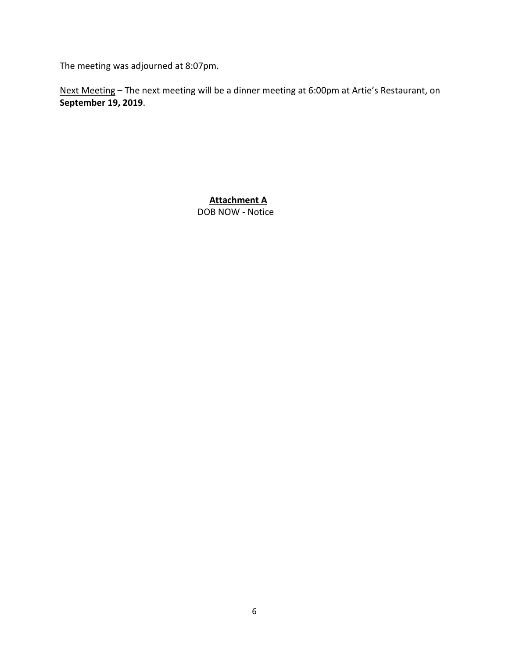The meeting was adjourned at 8:07pm.

Next Meeting – The next meeting will be a dinner meeting at 6:00pm at Artie's Restaurant, on **September 19, 2019**.

> DOB NOW - Notice **Attachment A**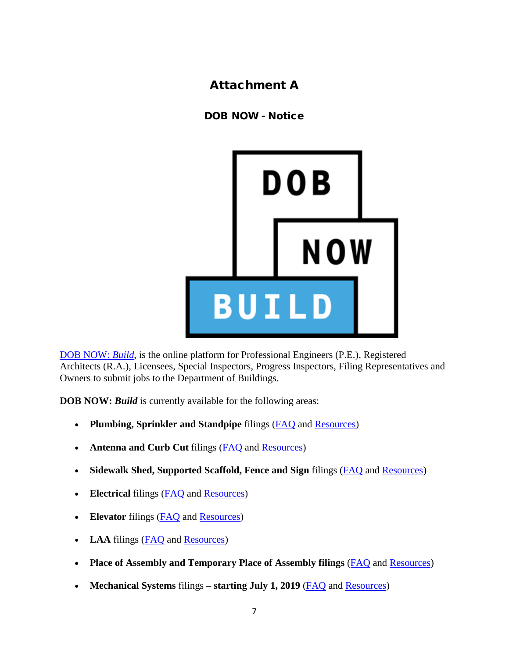## Attachment A

## DOB NOW - Notice



[DOB NOW:](http://www.nyc.gov/dobnow) *Build*, is the online platform for Professional Engineers (P.E.), Registered Architects (R.A.), Licensees, Special Inspectors, Progress Inspectors, Filing Representatives and Owners to submit jobs to the Department of Buildings.

**DOB NOW: Build** is currently available for the following areas:

- **Plumbing, Sprinkler and Standpipe** filings [\(FAQ](https://www1.nyc.gov/site/buildings/industry/dob-now-build-faqs.page) and [Resources\)](https://www1.nyc.gov/site/buildings/industry/dob-now-build-resources.page)
- **Antenna and Curb Cut** filings (**FAQ** and **Resources**)
- **Sidewalk Shed, Supported Scaffold, Fence and Sign** filings [\(FAQ](https://www1.nyc.gov/site/buildings/industry/dob-now-build-faqs.page) and [Resources\)](https://www1.nyc.gov/site/buildings/industry/dob-now-build-resources-sign-and-eq.page)
- **Electrical** filings [\(FAQ](https://www1.nyc.gov/site/buildings/industry/dob-now-build-faqs.page) and [Resources\)](https://www1.nyc.gov/site/buildings/industry/dob-now-build-resources-electrical.page)
- **Elevator** filings [\(FAQ](https://www1.nyc.gov/site/buildings/industry/dob-now-build-faqs.page) and [Resources\)](https://www1.nyc.gov/site/buildings/industry/dob-now-build-resources-elevator.page)
- **LAA** filings [\(FAQ](https://www1.nyc.gov/site/buildings/industry/dob-now-build-faqs.page) and [Resources\)](https://www1.nyc.gov/site/buildings/industry/dob-now-build-resources-laa.page)
- **Place of Assembly and Temporary Place of Assembly filings** [\(FAQ](https://www1.nyc.gov/site/buildings/industry/dob-now-build-faqs.page) and [Resources\)](https://www1.nyc.gov/site/buildings/industry/dob-now-build-resources-pa.page)
- **Mechanical Systems** filings **starting July 1, 2019** [\(FAQ](https://www1.nyc.gov/site/buildings/industry/dob-now-build-faqs.page) and [Resources\)](https://www1.nyc.gov/site/buildings/industry/dob-now-build-resources-ms.page)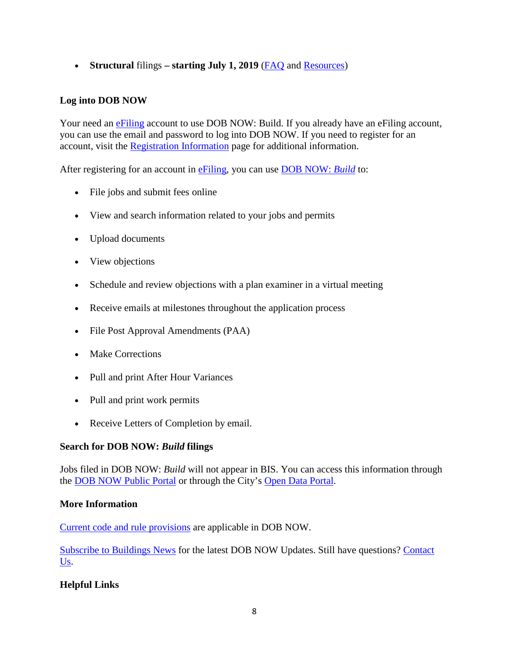• **Structural filings – starting July 1, 2019 [\(FAQ](https://www1.nyc.gov/site/buildings/industry/dob-now-build-faqs.page) and [Resources\)](https://www1.nyc.gov/site/buildings/industry/dob-now-build-resources-st.page)** 

## **Log into DOB NOW**

Your need an [eFiling](https://a810-efiling.nyc.gov/eRenewal/loginER.jsp) account to use DOB NOW: Build. If you already have an eFiling account, you can use the email and password to log into DOB NOW. If you need to register for an account, visit the [Registration Information](https://www1.nyc.gov/site/buildings/industry/dob-now-registration-tips.page) page for additional information.

After registering for an account in [eFiling,](http://www.nyc.gov/dobefiling) you can use [DOB NOW:](https://a810-dobnow.nyc.gov/publish/#/) *Build* to:

- File jobs and submit fees online
- View and search information related to your jobs and permits
- Upload documents
- View objections
- Schedule and review objections with a plan examiner in a virtual meeting
- Receive emails at milestones throughout the application process
- File Post Approval Amendments (PAA)
- Make Corrections
- Pull and print After Hour Variances
- Pull and print work permits
- Receive Letters of Completion by email.

## **Search for DOB NOW:** *Build* **filings**

Jobs filed in DOB NOW: *Build* will not appear in BIS. You can access this information through the [DOB NOW Public Portal](https://www1.nyc.gov/site/buildings/industry/dob-now-public-portal.page) or through the City's [Open Data Portal.](https://data.cityofnewyork.us/browse?q=dob+now&sortBy=relevance)

## **More Information**

[Current code and rule provisions](https://www1.nyc.gov/site/buildings/codes/codes.page) are applicable in DOB NOW.

[Subscribe to Buildings News](http://www.nyc.gov/register) for the latest DOB NOW Updates. Still have questions? [Contact](https://a810-efiling.nyc.gov/eRenewal/dobNowHelp.jsp)  [Us.](https://a810-efiling.nyc.gov/eRenewal/dobNowHelp.jsp)

## **Helpful Links**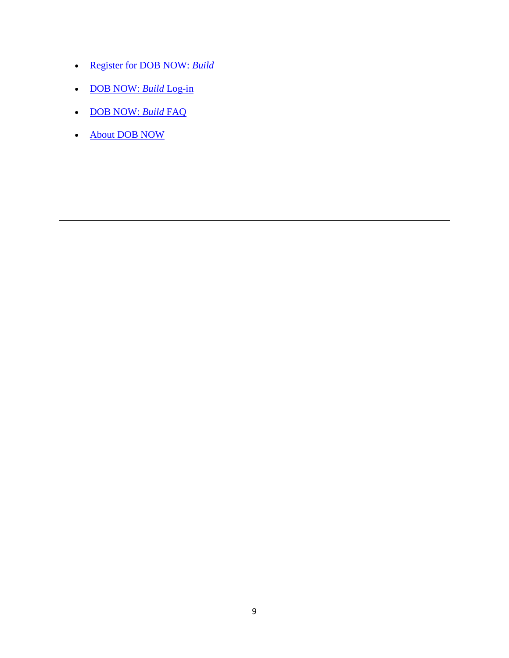- [Register for DOB NOW:](https://a810-efiling.nyc.gov/eRenewal/loginER.jsp) *Build*
- [DOB NOW:](http://www.nyc.gov/dobnow) *Build* Log-in
- [DOB NOW:](https://www1.nyc.gov/site/buildings/industry/dob-now-build-faqs.page) *Build* FAQ
- [About DOB NOW](https://www1.nyc.gov/site/buildings/industry/dob-now.page)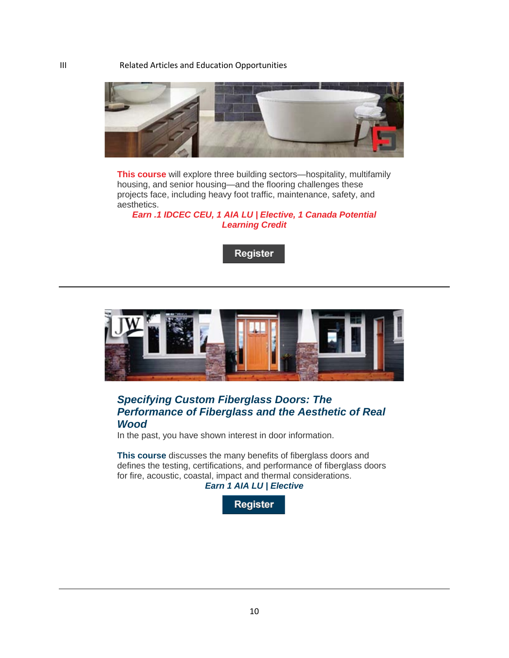III Related Articles and Education Opportunities



**[This course](https://linkprotect.cudasvc.com/url?a=http%3a%2f%2fclick1.communication.hanleywood.com%2figytnvpcyhdwzdbvwbkdvwpddpwdhzbtrymyqrnccbmm_bjpglbdypgqlpqqddd.html%3fa%3dbesnard%2540dzco.com&c=E,1,vqpBmiejIm4f7nEAhbQY5kte0s-TEqHJr_tppjoMTmf14blZGDdFjCCs4_F962Sw17z2a1AtbxrJhbNKahqz2th-FVbr9TX8YYFx2YcTuXQDysxaevjzExDd&typo=1)** will explore three building sectors—hospitality, multifamily housing, and senior housing—and the flooring challenges these projects face, including heavy foot traffic, maintenance, safety, and aesthetics.

*[Earn .1 IDCEC CEU, 1 AIA LU | Elective, 1 Canada Potential](https://linkprotect.cudasvc.com/url?a=http%3a%2f%2fclick1.communication.hanleywood.com%2fnwwcrfgkqypnjptfnthpfngppgnpyjtcbqdqmbrkktdp_bjpglbdypgqlpqqddd.html%3fa%3dbesnard%2540dzco.com&c=E,1,Eil-WGTCRB6Se0RKjTbpqfa8JSna8SM3bqbA_POSMMVoDA4-LhXUPrZxBmA80lpcNkmi6xvbeyO01u-8V1dlA8BL0q39yHDfG5QIadiI&typo=1)  [Learning Credit](https://linkprotect.cudasvc.com/url?a=http%3a%2f%2fclick1.communication.hanleywood.com%2fnwwcrfgkqypnjptfnthpfngppgnpyjtcbqdqmbrkktdp_bjpglbdypgqlpqqddd.html%3fa%3dbesnard%2540dzco.com&c=E,1,Eil-WGTCRB6Se0RKjTbpqfa8JSna8SM3bqbA_POSMMVoDA4-LhXUPrZxBmA80lpcNkmi6xvbeyO01u-8V1dlA8BL0q39yHDfG5QIadiI&typo=1)*





## *[Specifying Custom Fiberglass Doors: The](https://linkprotect.cudasvc.com/url?a=http%3a%2f%2fclick1.communication.hanleywood.com%2feryvzyjqrshfphtyftlhyfjhhjfhsptvcrbrwczqpdqt_gkkrynwdcrtywmlwtn.html%3fa%3dbesnard%2540dzco.com&c=E,1,F1aUM8wCBQUeKLRBfmFSsbcnps8fBxsZO123LK6Gn9-joO0bi-DNrVSvQcPc8NGyPBp_Gmfok7vf0ozVou6Ux2d8SmqmiIrIv3kdWcslton3&typo=1)  [Performance of Fiberglass and the Aesthetic of Real](https://linkprotect.cudasvc.com/url?a=http%3a%2f%2fclick1.communication.hanleywood.com%2feryvzyjqrshfphtyftlhyfjhhjfhsptvcrbrwczqpdqt_gkkrynwdcrtywmlwtn.html%3fa%3dbesnard%2540dzco.com&c=E,1,F1aUM8wCBQUeKLRBfmFSsbcnps8fBxsZO123LK6Gn9-joO0bi-DNrVSvQcPc8NGyPBp_Gmfok7vf0ozVou6Ux2d8SmqmiIrIv3kdWcslton3&typo=1)  [Wood](https://linkprotect.cudasvc.com/url?a=http%3a%2f%2fclick1.communication.hanleywood.com%2feryvzyjqrshfphtyftlhyfjhhjfhsptvcrbrwczqpdqt_gkkrynwdcrtywmlwtn.html%3fa%3dbesnard%2540dzco.com&c=E,1,F1aUM8wCBQUeKLRBfmFSsbcnps8fBxsZO123LK6Gn9-joO0bi-DNrVSvQcPc8NGyPBp_Gmfok7vf0ozVou6Ux2d8SmqmiIrIv3kdWcslton3&typo=1)*

In the past, you have shown interest in door information.

**[This course](https://linkprotect.cudasvc.com/url?a=http%3a%2f%2fclick1.communication.hanleywood.com%2fnqycrfgkqypnjptfnthpfngppgnpyjtcbqdqmbrkjwkd_gkkrynwdcrtywmlwtn.html%3fa%3dbesnard%2540dzco.com&c=E,1,NisKRY1ZsQoKzEz3wDCSBYB3c-C_IHs4Wd_rPHDTVfZIdiqNEYmQngA4esDmILrqBvXjdgxf5qBjSHbs-WZHEJtQAiXVw5TnxcBVjAyHTLOO906fLsKGs7TI&typo=1)** discusses the many benefits of fiberglass doors and defines the testing, certifications, and performance of fiberglass doors for fire, acoustic, coastal, impact and thermal considerations. *[Earn 1 AIA LU | Elective](https://linkprotect.cudasvc.com/url?a=http%3a%2f%2fclick1.communication.hanleywood.com%2fnqqcrfgkqypnjptfnthpfngppgnpyjtcbqdqmbrkjwkp_gkkrynwdcrtywmlwtn.html%3fa%3dbesnard%2540dzco.com&c=E,1,dAoByMMXTY9jrybiJ9rUwi04bjP8r193XBnFKGH2z5KCcYC3NCY0n70CvryruTrkIq2jIw5aj_d5OVyVJ33v2OCqFoa60bAuBUJtR3_BKFn-v3dXLQ,,&typo=1)*

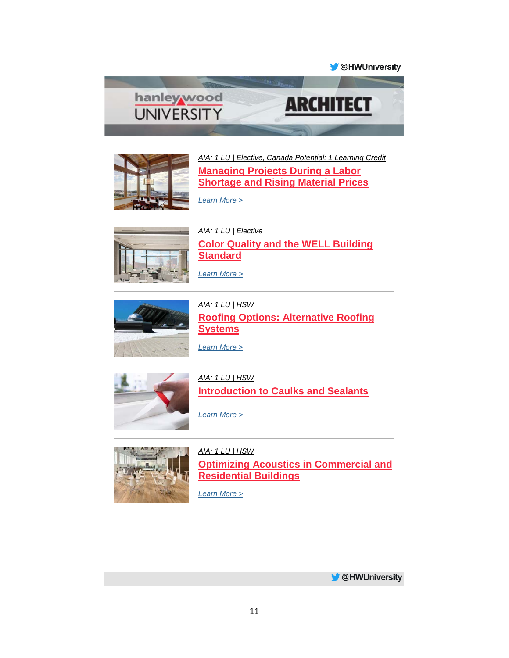**M** @HWUniversity





*[AIA: 1 LU | Elective, Canada Potential: 1 Learning Credit](https://linkprotect.cudasvc.com/url?a=http%3a%2f%2fclick1.e.hanleywood-media.com%2fybvpbqyvslgncgfqnfrgqnyggynglcfpwskstwbvbmmc_ufhnqmyshnfqhygmyy.html%3fa%3dbesnard%2540dzco.com%26b%3dHWU_EBMGHWUN721155_Update_Newsletter_070219&c=E,1,cj1JISDLCo3oZPe_5gk_pxvkzajlrbqeLZTrGyqwe2slqBNEKb5O_bC8r7mv2ZfzUn_tIYo8fXhA4yWm0oxnKFnH8VEcYmRVApMOu6dhug,,&typo=1)* **[Managing Projects During a Labor](https://linkprotect.cudasvc.com/url?a=http%3a%2f%2fclick1.e.hanleywood-media.com%2fwnztnvkjdlsbzswvbwqsvbksskbslzwthdgdmhnjnffj_ufhnqmyshnfqhygmyy.html%3fa%3dbesnard%2540dzco.com%26b%3dHWU_EBMGHWUN721155_Update_Newsletter_070219&c=E,1,em3tz4HEgyV-PK4eM9xL0mCulV4gg_Ixfzd-iW5uYiHmaJZUzlj11gzXqn9w89FzZwaf_YC7SbXcym4ZhASWvkL_fZSYqrZM1d3FTPgH1v0oThXtUNNEgoYl&typo=1)  [Shortage and Rising Material Prices](https://linkprotect.cudasvc.com/url?a=http%3a%2f%2fclick1.e.hanleywood-media.com%2fwnztnvkjdlsbzswvbwqsvbksskbslzwthdgdmhnjnffj_ufhnqmyshnfqhygmyy.html%3fa%3dbesnard%2540dzco.com%26b%3dHWU_EBMGHWUN721155_Update_Newsletter_070219&c=E,1,em3tz4HEgyV-PK4eM9xL0mCulV4gg_Ixfzd-iW5uYiHmaJZUzlj11gzXqn9w89FzZwaf_YC7SbXcym4ZhASWvkL_fZSYqrZM1d3FTPgH1v0oThXtUNNEgoYl&typo=1)**

*[Learn More >](https://linkprotect.cudasvc.com/url?a=http%3a%2f%2fclick1.e.hanleywood-media.com%2fkvsbdmwplhsjfsrmjrksmjwsswjshfrbzlvlqzdpdtlt_ufhnqmyshnfqhygmyy.html%3fa%3dbesnard%2540dzco.com%26b%3dHWU_EBMGHWUN721155_Update_Newsletter_070219&c=E,1,wDNfg0eqEu5b5jaDYTEgKcyxot3lLPB7QQA0SDv78Cn7z7SNyYCS5Src9WwoS0jhb2P6JK_v2XtL_D3QSjcBGYMJShjvC0Fb5HeriAdXY_j9RWQcWjUwPw,,&typo=1)*



*[AIA: 1 LU | Elective](https://linkprotect.cudasvc.com/url?a=http%3a%2f%2fclick1.e.hanleywood-media.com%2fqgvjpsydmwfthfvstvqfstyffytfwhvjcmgmrcpdpnmw_ufhnqmyshnfqhygmyy.html%3fa%3dbesnard%2540dzco.com%26b%3dHWU_EBMGHWUN721155_Update_Newsletter_070219&c=E,1,GnoQtzRwGkzVDJqcjg15XpSaxL4Jw8Ks6VYFXUHAwcq38CWzErw4-FTqDgGRgDXQTtEedO6_jQm_1FlJ_LpOyxdcUaiQgusyJyLpAO3B0Ik7yEo,&typo=1)* **[Color Quality and the WELL Building](https://linkprotect.cudasvc.com/url?a=http%3a%2f%2fclick1.e.hanleywood-media.com%2fmnyzbympcqdlsdtyltgdylmddmldqstzjcncvjbpbwcy_ufhnqmyshnfqhygmyy.html%3fa%3dbesnard%2540dzco.com%26b%3dHWU_EBMGHWUN721155_Update_Newsletter_070219&c=E,1,BdrWHq8-wrhZaMzd3mvIAredoygIeD7JicUzLLbGJ-hYRaxz3SwKJoqpW6sMUSRPilaqoYZnMn9eCcRE620T-FAguPSMmtn4YEW4d3UT0BEo-Ho9DhMN&typo=1)  [Standard](https://linkprotect.cudasvc.com/url?a=http%3a%2f%2fclick1.e.hanleywood-media.com%2fmnyzbympcqdlsdtyltgdylmddmldqstzjcncvjbpbwcy_ufhnqmyshnfqhygmyy.html%3fa%3dbesnard%2540dzco.com%26b%3dHWU_EBMGHWUN721155_Update_Newsletter_070219&c=E,1,BdrWHq8-wrhZaMzd3mvIAredoygIeD7JicUzLLbGJ-hYRaxz3SwKJoqpW6sMUSRPilaqoYZnMn9eCcRE620T-FAguPSMmtn4YEW4d3UT0BEo-Ho9DhMN&typo=1)**



*[Learn More >](https://linkprotect.cudasvc.com/url?a=http%3a%2f%2fclick1.e.hanleywood-media.com%2fowzcrjsqtzldmlkjdkgljdsllsdlzmkcptwtnprqrftk_ufhnqmyshnfqhygmyy.html%3fa%3dbesnard%2540dzco.com%26b%3dHWU_EBMGHWUN721155_Update_Newsletter_070219&c=E,1,1yo38T3RmA6T8hVf_Av8QmpEFnBT4P1_EBIqocXrvUNjDAF5PCK6EUUxlHJS_EYk-4v9eGN3Y1k8h9srPKVK6uIJoevrVZklXs_0BzD__w,,&typo=1)*

*[AIA: 1 LU | HSW](https://linkprotect.cudasvc.com/url?a=http%3a%2f%2fclick1.e.hanleywood-media.com%2fjvszqjcnbrmwfmtjwthmjwcmmcwmrftzpbvbkpqnqsbm_ufhnqmyshnfqhygmyy.html%3fa%3dbesnard%2540dzco.com%26b%3dHWU_EBMGHWUN721155_Update_Newsletter_070219&c=E,1,EJunqf10rNcpdu-MxuXIe0wXr_n2PlRZJWovAol8VF64Y92Qfkf3OFQgBZWBeo2tPLyyntlNj55rYQ33A5jimCG_K0USpb37209CdQFOCLk,&typo=1)* **[Roofing Options: Alternative Roofing](https://linkprotect.cudasvc.com/url?a=http%3a%2f%2fclick1.e.hanleywood-media.com%2fpyvrcjwvhqlbdlyjbytljbwllwblqdyrghmhkgcvcfhc_ufhnqmyshnfqhygmyy.html%3fa%3dbesnard%2540dzco.com%26b%3dHWU_EBMGHWUN721155_Update_Newsletter_070219&c=E,1,U2Bo1nZS687chSaryPbWxq41SLcmyYeMXDpaXT81Q4qPbGFFQFTfH56Ng7HXP2LVdl67TCyZtS-T0v-FtOq6qO8cqzSlw1pVVbLKPYf1OnyUjw,,&typo=1)  [Systems](https://linkprotect.cudasvc.com/url?a=http%3a%2f%2fclick1.e.hanleywood-media.com%2fpyvrcjwvhqlbdlyjbytljbwllwblqdyrghmhkgcvcfhc_ufhnqmyshnfqhygmyy.html%3fa%3dbesnard%2540dzco.com%26b%3dHWU_EBMGHWUN721155_Update_Newsletter_070219&c=E,1,U2Bo1nZS687chSaryPbWxq41SLcmyYeMXDpaXT81Q4qPbGFFQFTfH56Ng7HXP2LVdl67TCyZtS-T0v-FtOq6qO8cqzSlw1pVVbLKPYf1OnyUjw,,&typo=1)**



*[AIA: 1 LU | HSW](https://linkprotect.cudasvc.com/url?a=http%3a%2f%2fclick1.e.hanleywood-media.com%2fgyrjlgsmcytdntkgdkqtgdsttsdtynkjfcrcpflmlwyw_ufhnqmyshnfqhygmyy.html%3fa%3dbesnard%2540dzco.com%26b%3dHWU_EBMGHWUN721155_Update_Newsletter_070219&c=E,1,zaUGCvwZ5mIDlGa55hICFWs1CT2mAt7Vv1SFxi3RJ6mvxyFjuTODfmlsmpEiJyz9Y52loNr6QvNhcFy-GTnXhpzkx12MXo1E6jDJY00tbzBrBDCgjVI,&typo=1)*

**[Introduction to Caulks and Sealants](https://linkprotect.cudasvc.com/url?a=http%3a%2f%2fclick1.e.hanleywood-media.com%2flkdfwgshmknrqndgrdpngrsnnsrnkqdflmjmclwhwzkm_ufhnqmyshnfqhygmyy.html%3fa%3dbesnard%2540dzco.com%26b%3dHWU_EBMGHWUN721155_Update_Newsletter_070219&c=E,1,3jgIXGyYFYtg7hWLds_MxpJV30mjYpxRwNKXa0yv95D-TVn_eclGGewMkKEvIHXR2SohpsXgK5gU8MPLAkCYhACy3eSWm1UMZO0S_o0oG_C3Wwg,&typo=1)**

*[Learn More >](https://linkprotect.cudasvc.com/url?a=http%3a%2f%2fclick1.e.hanleywood-media.com%2frrnhtnylcrvpwvknpkfvnpyvvypvrwkhscgcbstltjrr_ufhnqmyshnfqhygmyy.html%3fa%3dbesnard%2540dzco.com%26b%3dHWU_EBMGHWUN721155_Update_Newsletter_070219&c=E,1,UVB7HAImXh1AWLhB73ijukSZuWDa1gYZA1a3bKvlKK9WNAxDMFZuxx1eFQSfSHrpTFbLzLTC-u4NaPXYciXEXFoC2Krw5aYfDY8WDCkViGiDgbiaPw,,&typo=1)*

*[Learn More >](https://linkprotect.cudasvc.com/url?a=http%3a%2f%2fclick1.e.hanleywood-media.com%2fwwztnvkjdlsbzswvbwqsvbksskbslzwthdgdmhnjnfdz_ufhnqmyshnfqhygmyy.html%3fa%3dbesnard%2540dzco.com%26b%3dHWU_EBMGHWUN721155_Update_Newsletter_070219&c=E,1,Dnc0VVVVUKq98lbafWFDGVTVFVy879uULN1Petsou776R_tHq3-19FQjmbyJE0aSa0iZpQfb2wXKMaLSgbsvTHK49t3QTyX6hnULetnthrGevxIe0A,,&typo=1)*



*[AIA: 1 LU | HSW](https://linkprotect.cudasvc.com/url?a=http%3a%2f%2fclick1.e.hanleywood-media.com%2fqwmjpsydmwfthfvstvqfstyffytfwhvjcmgmrcpdpnwv_ufhnqmyshnfqhygmyy.html%3fa%3dbesnard%2540dzco.com%26b%3dHWU_EBMGHWUN721155_Update_Newsletter_070219&c=E,1,Dt0W4dyZVYnBRHGawz_MZzm3PRHqRvvrSsw5gAFLbFMt_KPxq5PDOwb69bi4qKlxHD8f2Lg68LrlRJMTBZc7rELXLWDA0rmlRci7VYWq67O6lZz-VNJJnQ,,&typo=1)* **[Optimizing Acoustics in Commercial and](https://linkprotect.cudasvc.com/url?a=http%3a%2f%2fclick1.e.hanleywood-media.com%2fkhtbdmwplhsjfsrmjrksmjwsswjshfrbzlvlqzdpdthv_ufhnqmyshnfqhygmyy.html%3fa%3dbesnard%2540dzco.com%26b%3dHWU_EBMGHWUN721155_Update_Newsletter_070219&c=E,1,ME9xgRX44wSOW61IfpUpEHfiTYALE814ndRJxGVe1bC_rqddvmUUia8BKcSYnJwokfY_vfgmQGRWmbfzxJIsWyF-oV2sPY0VIR4ZDM0rJMs8aw,,&typo=1)  [Residential Buildings](https://linkprotect.cudasvc.com/url?a=http%3a%2f%2fclick1.e.hanleywood-media.com%2fkhtbdmwplhsjfsrmjrksmjwsswjshfrbzlvlqzdpdthv_ufhnqmyshnfqhygmyy.html%3fa%3dbesnard%2540dzco.com%26b%3dHWU_EBMGHWUN721155_Update_Newsletter_070219&c=E,1,ME9xgRX44wSOW61IfpUpEHfiTYALE814ndRJxGVe1bC_rqddvmUUia8BKcSYnJwokfY_vfgmQGRWmbfzxJIsWyF-oV2sPY0VIR4ZDM0rJMs8aw,,&typo=1)**

*[Learn More >](https://linkprotect.cudasvc.com/url?a=http%3a%2f%2fclick1.e.hanleywood-media.com%2ferqvzyjqrshfphtyftlhyfjhhjfhsptvcrbrwczqzdsh_ufhnqmyshnfqhygmyy.html%3fa%3dbesnard%2540dzco.com%26b%3dHWU_EBMGHWUN721155_Update_Newsletter_070219&c=E,1,5QrtC64eYTFOReU5ZCSu4z7rH5E9VZLgWpHkrGvbe9EqMVYGeJ97QBko5jih-IH1OjiI7jwLXDlILzkA8TghKqMJlJab130OTobnFte-usVFTu1jcyo,&typo=1)*

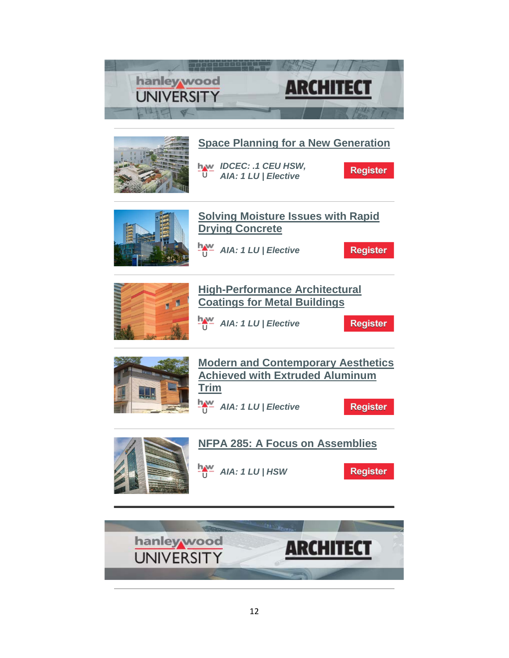